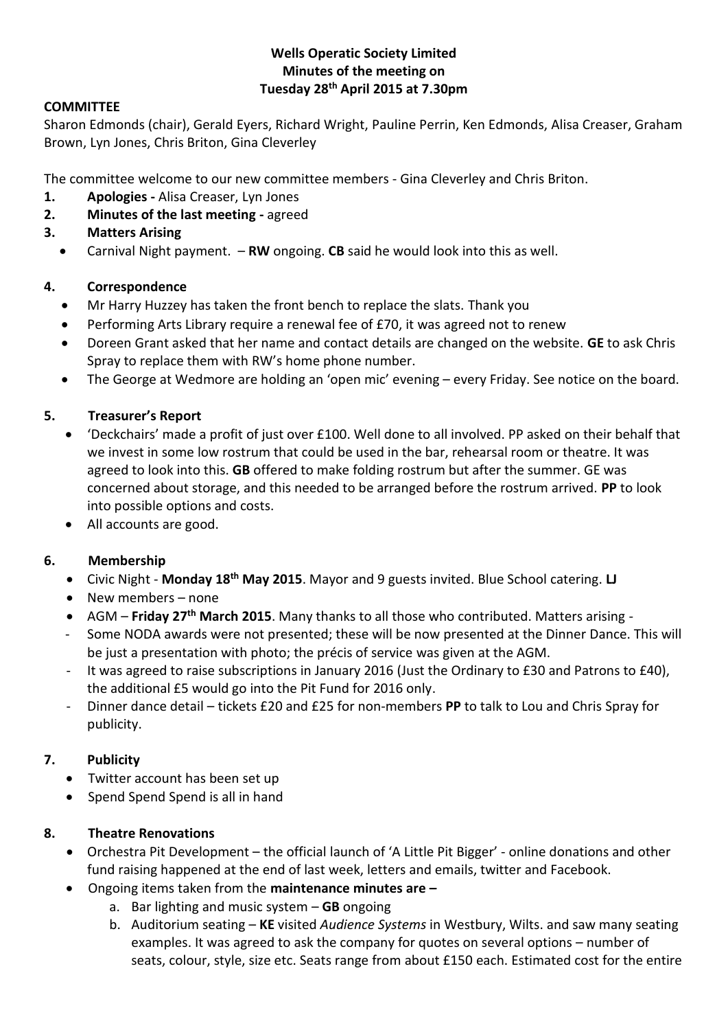#### **Wells Operatic Society Limited Minutes of the meeting on Tuesday 28th April 2015 at 7.30pm**

#### **COMMITTEE**

Sharon Edmonds (chair), Gerald Eyers, Richard Wright, Pauline Perrin, Ken Edmonds, Alisa Creaser, Graham Brown, Lyn Jones, Chris Briton, Gina Cleverley

The committee welcome to our new committee members - Gina Cleverley and Chris Briton.

- **1. Apologies -** Alisa Creaser, Lyn Jones
- **2. Minutes of the last meeting -** agreed

#### **3. Matters Arising**

Carnival Night payment. – **RW** ongoing. **CB** said he would look into this as well.

### **4. Correspondence**

- Mr Harry Huzzey has taken the front bench to replace the slats. Thank you
- Performing Arts Library require a renewal fee of £70, it was agreed not to renew
- Doreen Grant asked that her name and contact details are changed on the website. **GE** to ask Chris Spray to replace them with RW's home phone number.
- The George at Wedmore are holding an 'open mic' evening every Friday. See notice on the board.

### **5. Treasurer's Report**

- 'Deckchairs' made a profit of just over £100. Well done to all involved. PP asked on their behalf that we invest in some low rostrum that could be used in the bar, rehearsal room or theatre. It was agreed to look into this. **GB** offered to make folding rostrum but after the summer. GE was concerned about storage, and this needed to be arranged before the rostrum arrived. **PP** to look into possible options and costs.
- All accounts are good.

## **6. Membership**

- Civic Night **Monday 18th May 2015**. Mayor and 9 guests invited. Blue School catering. **LJ**
- New members none
- AGM **Friday 27th March 2015**. Many thanks to all those who contributed. Matters arising -
- Some NODA awards were not presented; these will be now presented at the Dinner Dance. This will be just a presentation with photo; the précis of service was given at the AGM.
- It was agreed to raise subscriptions in January 2016 (Just the Ordinary to £30 and Patrons to £40), the additional £5 would go into the Pit Fund for 2016 only.
- Dinner dance detail tickets £20 and £25 for non-members **PP** to talk to Lou and Chris Spray for publicity.

## **7. Publicity**

- Twitter account has been set up
- Spend Spend Spend is all in hand

#### **8. Theatre Renovations**

- Orchestra Pit Development the official launch of 'A Little Pit Bigger' online donations and other fund raising happened at the end of last week, letters and emails, twitter and Facebook.
- Ongoing items taken from the **maintenance minutes are –**
	- a. Bar lighting and music system **GB** ongoing
	- b. Auditorium seating **KE** visited *Audience Systems* in Westbury, Wilts. and saw many seating examples. It was agreed to ask the company for quotes on several options – number of seats, colour, style, size etc. Seats range from about £150 each. Estimated cost for the entire